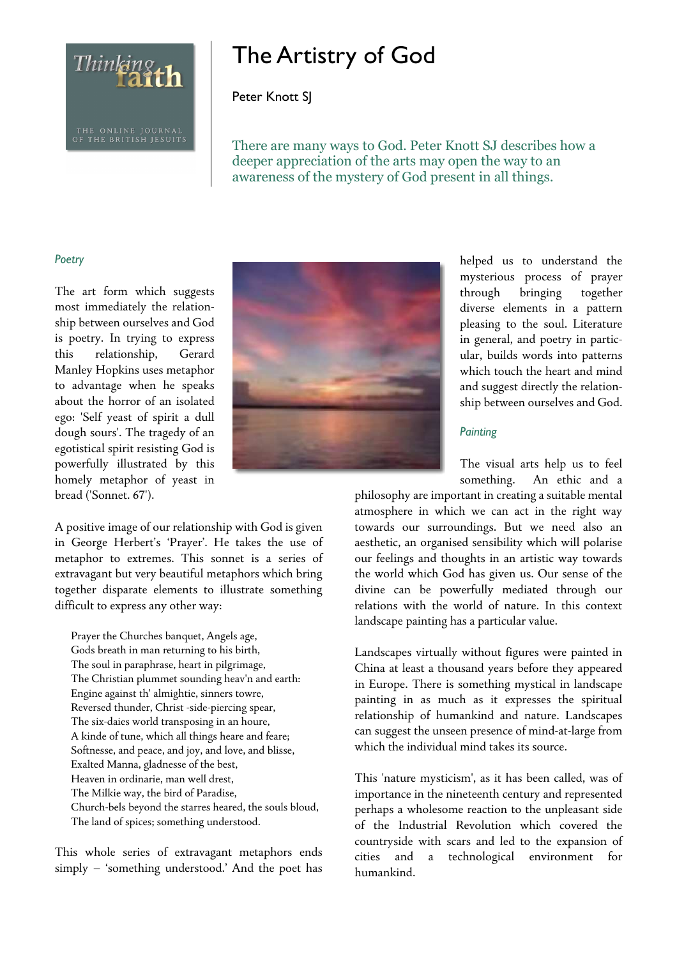

# The Artistry of God

Peter Knott SJ

There are many ways to God. Peter Knott SJ describes how a deeper appreciation of the arts may open the way to an awareness of the mystery of God present in all things.

## Poetry

The art form which suggests most immediately the relationship between ourselves and God is poetry. In trying to express this relationship, Gerard Manley Hopkins uses metaphor to advantage when he speaks about the horror of an isolated ego: 'Self yeast of spirit a dull dough sours'. The tragedy of an egotistical spirit resisting God is powerfully illustrated by this homely metaphor of yeast in bread ('Sonnet. 67').

A positive image of our relationship with God is given in George Herbert's 'Prayer'. He takes the use of metaphor to extremes. This sonnet is a series of extravagant but very beautiful metaphors which bring together disparate elements to illustrate something difficult to express any other way:

Prayer the Churches banquet, Angels age, Gods breath in man returning to his birth, The soul in paraphrase, heart in pilgrimage, The Christian plummet sounding heav'n and earth: Engine against th' almightie, sinners towre, Reversed thunder, Christ -side-piercing spear, The six-daies world transposing in an houre, A kinde of tune, which all things heare and feare; Softnesse, and peace, and joy, and love, and blisse, Exalted Manna, gladnesse of the best, Heaven in ordinarie, man well drest, The Milkie way, the bird of Paradise, Church-bels beyond the starres heared, the souls bloud, The land of spices; something understood.

This whole series of extravagant metaphors ends simply – 'something understood.' And the poet has



helped us to understand the mysterious process of prayer through bringing together diverse elements in a pattern pleasing to the soul. Literature in general, and poetry in particular, builds words into patterns which touch the heart and mind and suggest directly the relationship between ourselves and God.

# **Painting**

The visual arts help us to feel something. An ethic and a

philosophy are important in creating a suitable mental atmosphere in which we can act in the right way towards our surroundings. But we need also an aesthetic, an organised sensibility which will polarise our feelings and thoughts in an artistic way towards the world which God has given us. Our sense of the divine can be powerfully mediated through our relations with the world of nature. In this context landscape painting has a particular value.

Landscapes virtually without figures were painted in China at least a thousand years before they appeared in Europe. There is something mystical in landscape painting in as much as it expresses the spiritual relationship of humankind and nature. Landscapes can suggest the unseen presence of mind-at-large from which the individual mind takes its source.

This 'nature mysticism', as it has been called, was of importance in the nineteenth century and represented perhaps a wholesome reaction to the unpleasant side of the Industrial Revolution which covered the countryside with scars and led to the expansion of cities and a technological environment for humankind.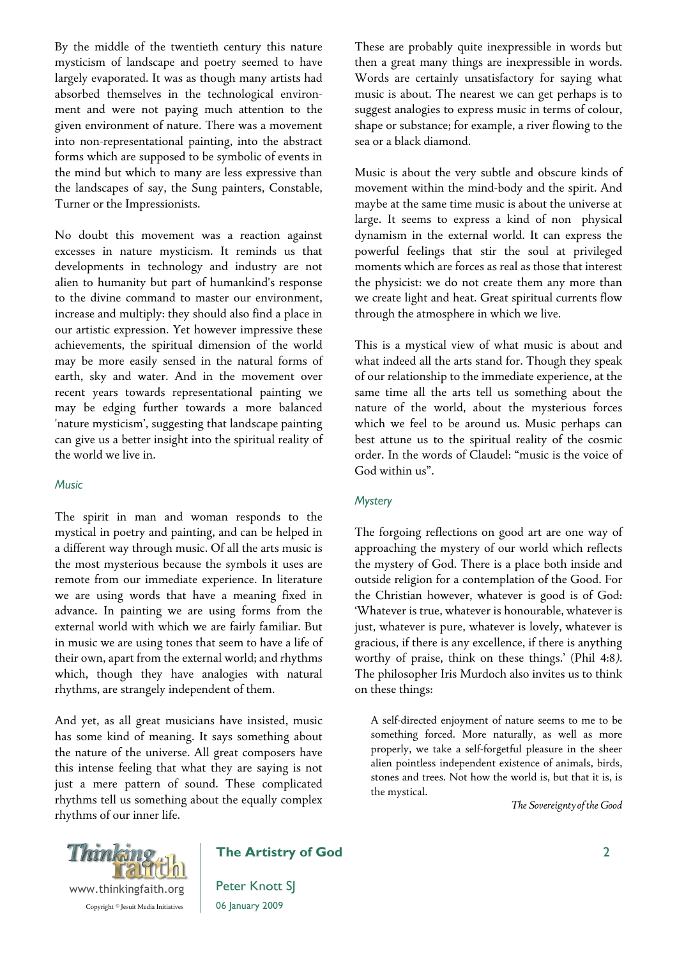By the middle of the twentieth century this nature mysticism of landscape and poetry seemed to have largely evaporated. It was as though many artists had absorbed themselves in the technological environment and were not paying much attention to the given environment of nature. There was a movement into non-representational painting, into the abstract forms which are supposed to be symbolic of events in the mind but which to many are less expressive than the landscapes of say, the Sung painters, Constable, Turner or the Impressionists.

No doubt this movement was a reaction against excesses in nature mysticism. It reminds us that developments in technology and industry are not alien to humanity but part of humankind's response to the divine command to master our environment, increase and multiply: they should also find a place in our artistic expression. Yet however impressive these achievements, the spiritual dimension of the world may be more easily sensed in the natural forms of earth, sky and water. And in the movement over recent years towards representational painting we may be edging further towards a more balanced 'nature mysticism', suggesting that landscape painting can give us a better insight into the spiritual reality of the world we live in.

#### **Music**

The spirit in man and woman responds to the mystical in poetry and painting, and can be helped in a different way through music. Of all the arts music is the most mysterious because the symbols it uses are remote from our immediate experience. In literature we are using words that have a meaning fixed in advance. In painting we are using forms from the external world with which we are fairly familiar. But in music we are using tones that seem to have a life of their own, apart from the external world; and rhythms which, though they have analogies with natural rhythms, are strangely independent of them.

And yet, as all great musicians have insisted, music has some kind of meaning. It says something about the nature of the universe. All great composers have this intense feeling that what they are saying is not just a mere pattern of sound. These complicated rhythms tell us something about the equally complex rhythms of our inner life.

These are probably quite inexpressible in words but then a great many things are inexpressible in words. Words are certainly unsatisfactory for saying what music is about. The nearest we can get perhaps is to suggest analogies to express music in terms of colour, shape or substance; for example, a river flowing to the sea or a black diamond.

Music is about the very subtle and obscure kinds of movement within the mind-body and the spirit. And maybe at the same time music is about the universe at large. It seems to express a kind of non physical dynamism in the external world. It can express the powerful feelings that stir the soul at privileged moments which are forces as real as those that interest the physicist: we do not create them any more than we create light and heat. Great spiritual currents flow through the atmosphere in which we live.

This is a mystical view of what music is about and what indeed all the arts stand for. Though they speak of our relationship to the immediate experience, at the same time all the arts tell us something about the nature of the world, about the mysterious forces which we feel to be around us. Music perhaps can best attune us to the spiritual reality of the cosmic order. In the words of Claudel: "music is the voice of God within us".

#### **Mystery**

The forgoing reflections on good art are one way of approaching the mystery of our world which reflects the mystery of God. There is a place both inside and outside religion for a contemplation of the Good. For the Christian however, whatever is good is of God: 'Whatever is true, whatever is honourable, whatever is just, whatever is pure, whatever is lovely, whatever is gracious, if there is any excellence, if there is anything worthy of praise, think on these things.' (Phil 4:8*).*  The philosopher Iris Murdoch also invites us to think on these things:

A self-directed enjoyment of nature seems to me to be something forced. More naturally, as well as more properly, we take a self-forgetful pleasure in the sheer alien pointless independent existence of animals, birds, stones and trees. Not how the world is, but that it is, is the mystical.

*The Sovereignty of the Good* 



# The Artistry of God

Peter Knott SJ 06 January 2009